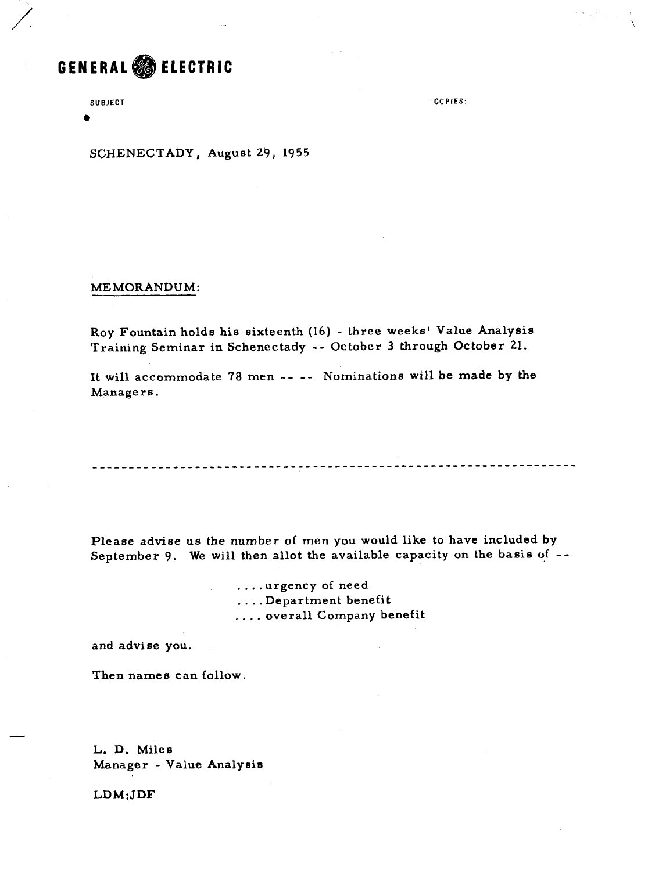# GENERAL **& ELECTRIC**

**SUBJECT** 

**a** 

**COPIES:** 

SCHENECTADY, August 29, 1955

MEMORANDUM:

Roy Fountain holds his sixteenth (16) - three weeks' Value Analysis Training Seminar in Schenectady -- October 3 through October 21.

It will accommodate 78 **men** -- -- Nominations will be made by the Managers .

Please advise us the number of men you would like to have included by September 9. We will then allot the available capacity on the basis of --

> . . . .urgency of need . . . .Department benefit . . . . overall Company benefit

and advise you,

Then names can follow.

L. D. Miles Manager - Value Analysis

LDM:JDF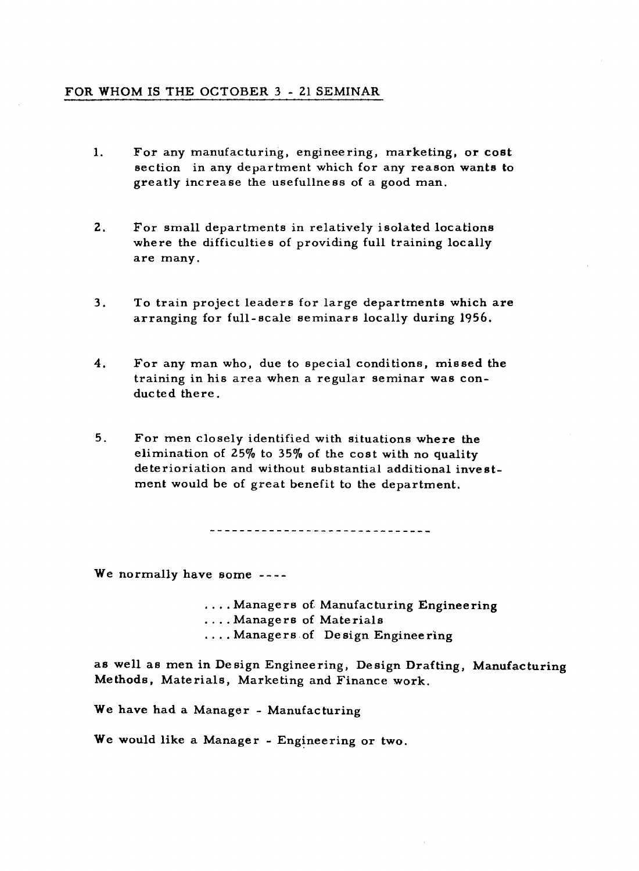## **FOR WHOM** IS THE OCTOBER 3 - 21 **SEMINAR**

- $\mathbf{1}$ . For any manufacturing, engineering, marketing, or cost section in any department which for any reason wants to greatly increase the usefullness of a good man.
- $2.$ For small departments in relatively isolated locations where the difficulties of providing full training locally are many.
- $3.$ To train project leaders for large departments which are arranging for full- scale seminars locally during 1956.
- 4. For any man who, due to special conditions, missed the training in his area when a regular seminar was conduc ted there.
- $5.$ For men closely identified with situations where the elimination of **2570** to **35%** of the cost with no quality deterioriation and without substantial additional investment would be of great benefit to the department.

-----------------------------

We normally have some ----

. . . . Managers of. Manufacturing Engineering . . . . Managers of Materials . . . . Managers of Design Engineering

as well as men in De sign Engineering, Design Drafting, Manufacturing Methods, Materials, Marketing and Finance work.

We have had a Manager - Manufacturing

We would like a Manager - Engineering or two.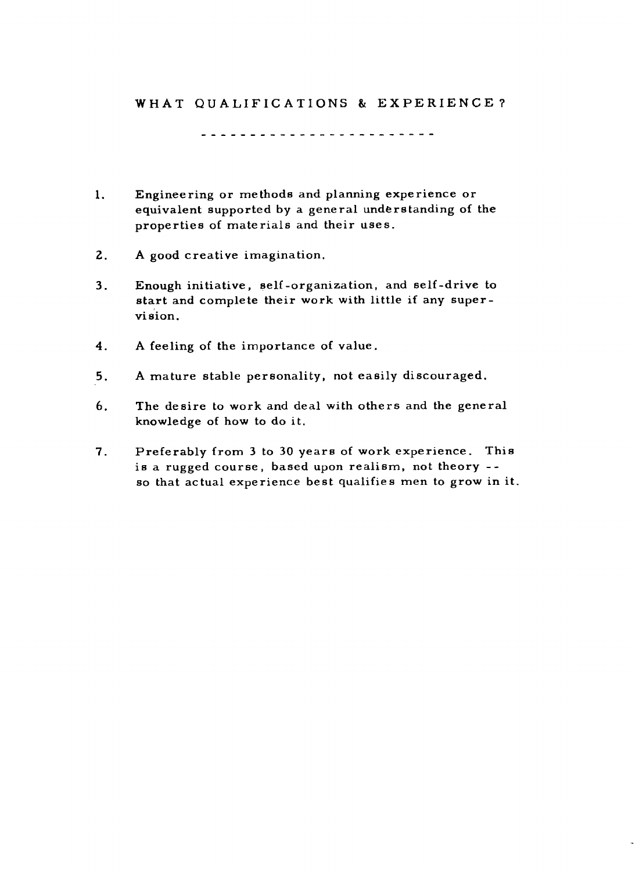# **WHAT QUALIFICATIONS** & **EXPERIENCE 7**

........................

- **1.** Engineering or methods and planning experience or equivalent supported by a general understanding of the properties of materials and their uses.
- **2. A** good creative imagination.
- 3. Enough initiative , self -organization, and self -drive to start and complete their work with little if any supervision.
- **4. A** feeling of the importance of value.
- **5.** A mature stable personality, not easily discouraged.
- **6.** The desire to work and deal with others and the general knowledge of how to do it.
- **7.** Preferably from 3 to 30 years of work experience. This is a rugged course, based upon realism, not theory - so that actual experience best qualifies men to grow in it.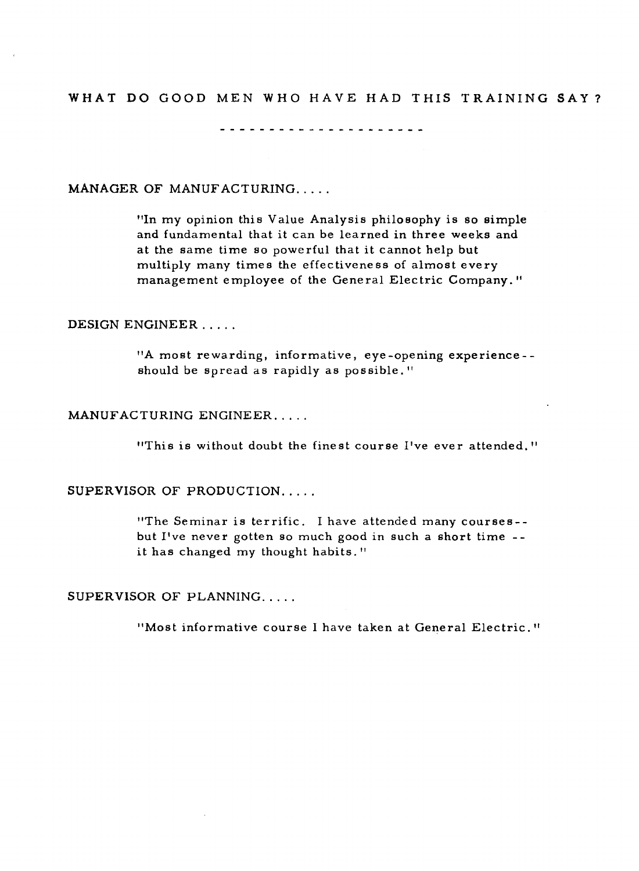# WHAT DO GOOD MEN WHO HAVE HAD THIS TRAINING SAY?

--------------------

## MANAGER OF MANUFACTURING.....

"In my opinion this Value Analysis philosophy is so simple and fundamental that it can be learned in three weeks and at the same time so powerful that it cannot help but multiply many times the effectiveness of almost every management employee of the General Electric Company."

#### DESIGN ENGINEER.....

"A most rewarding, informative, eye -opening experience - should be spread as rapidly as possible."

#### MANUFACTURING ENGINEER.. . . .

"This is without doubt the fine st course I've ever attended. "

#### SUPERVISOR OF PRODUCTION....

"The Seminar is terrific. I have attended many courses- but I've never gotten so much good in such a short time - it has changed my thought habits."

#### SUPERVISOR OF PLANNING.....

"Most informative course I have taken at General Electric."